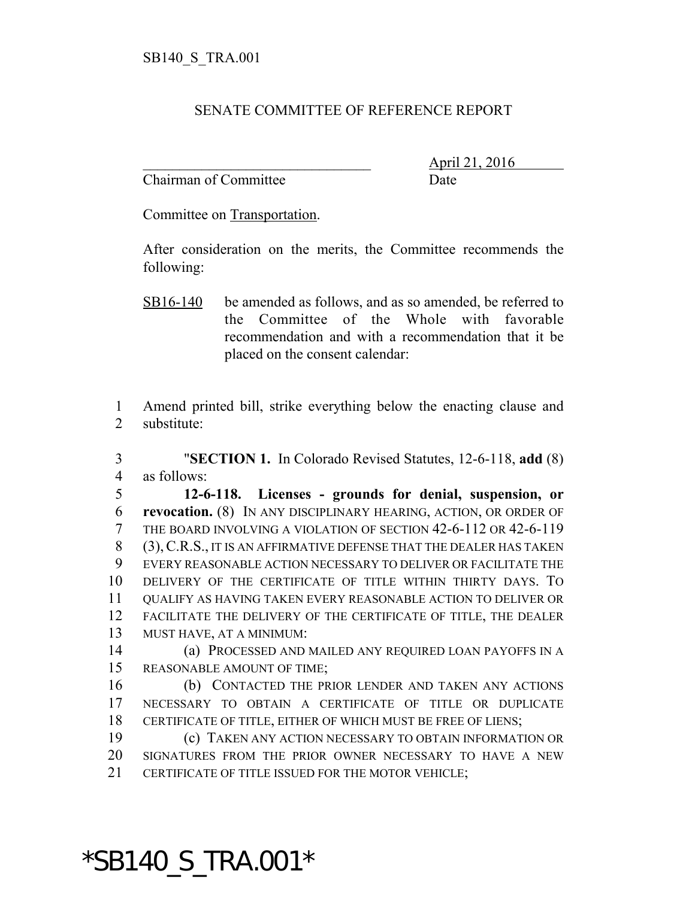## SENATE COMMITTEE OF REFERENCE REPORT

Chairman of Committee Date

\_\_\_\_\_\_\_\_\_\_\_\_\_\_\_\_\_\_\_\_\_\_\_\_\_\_\_\_\_\_\_ April 21, 2016

Committee on Transportation.

After consideration on the merits, the Committee recommends the following:

SB16-140 be amended as follows, and as so amended, be referred to the Committee of the Whole with favorable recommendation and with a recommendation that it be placed on the consent calendar:

 Amend printed bill, strike everything below the enacting clause and substitute:

 "**SECTION 1.** In Colorado Revised Statutes, 12-6-118, **add** (8) as follows:

 **12-6-118. Licenses - grounds for denial, suspension, or revocation.** (8) IN ANY DISCIPLINARY HEARING, ACTION, OR ORDER OF THE BOARD INVOLVING A VIOLATION OF SECTION 42-6-112 OR 42-6-119 (3),C.R.S., IT IS AN AFFIRMATIVE DEFENSE THAT THE DEALER HAS TAKEN EVERY REASONABLE ACTION NECESSARY TO DELIVER OR FACILITATE THE DELIVERY OF THE CERTIFICATE OF TITLE WITHIN THIRTY DAYS. TO QUALIFY AS HAVING TAKEN EVERY REASONABLE ACTION TO DELIVER OR FACILITATE THE DELIVERY OF THE CERTIFICATE OF TITLE, THE DEALER MUST HAVE, AT A MINIMUM:

 (a) PROCESSED AND MAILED ANY REQUIRED LOAN PAYOFFS IN A REASONABLE AMOUNT OF TIME;

 (b) CONTACTED THE PRIOR LENDER AND TAKEN ANY ACTIONS NECESSARY TO OBTAIN A CERTIFICATE OF TITLE OR DUPLICATE CERTIFICATE OF TITLE, EITHER OF WHICH MUST BE FREE OF LIENS;

 (c) TAKEN ANY ACTION NECESSARY TO OBTAIN INFORMATION OR SIGNATURES FROM THE PRIOR OWNER NECESSARY TO HAVE A NEW CERTIFICATE OF TITLE ISSUED FOR THE MOTOR VEHICLE;

## \*SB140\_S\_TRA.001\*